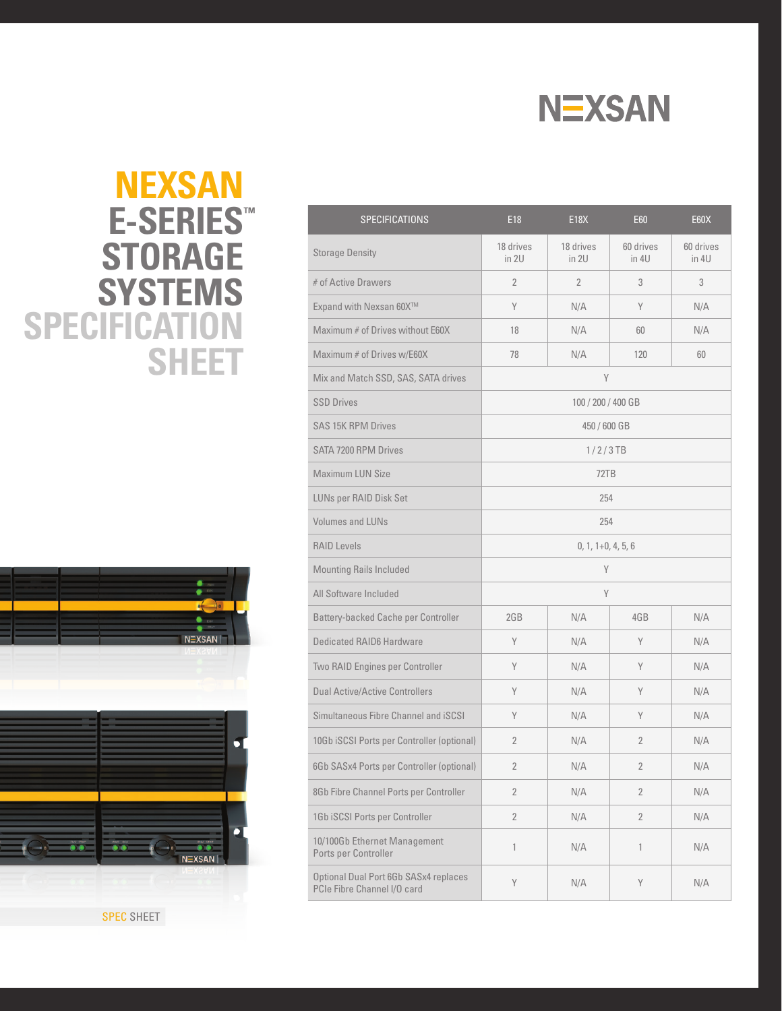

## **SPECIFICATION SHEET NEXSAN E-SERIES ™ STORAGE SYSTEMS**





| <b>SPECIFICATIONS</b>                                                | E18                  | <b>E18X</b>        | <b>E60</b>         | <b>E60X</b>        |  |
|----------------------------------------------------------------------|----------------------|--------------------|--------------------|--------------------|--|
| <b>Storage Density</b>                                               | 18 drives<br>in 2U   | 18 drives<br>in 2U | 60 drives<br>in 4U | 60 drives<br>in 4U |  |
| # of Active Drawers                                                  | $\overline{2}$       | 2                  | 3                  | 3                  |  |
| Expand with Nexsan 60X™                                              | Y                    | N/A                | Y                  | N/A                |  |
| Maximum # of Drives without E60X                                     | 18                   | N/A                | 60                 | N/A                |  |
| Maximum # of Drives w/E60X                                           | 78                   | N/A                | 120                | 60                 |  |
| Mix and Match SSD, SAS, SATA drives                                  | Y                    |                    |                    |                    |  |
| <b>SSD Drives</b>                                                    | 100 / 200 / 400 GB   |                    |                    |                    |  |
| <b>SAS 15K RPM Drives</b>                                            | 450 / 600 GB         |                    |                    |                    |  |
| SATA 7200 RPM Drives                                                 | $1/2/3$ TB           |                    |                    |                    |  |
| <b>Maximum LUN Size</b>                                              | 72TB                 |                    |                    |                    |  |
| LUNs per RAID Disk Set                                               | 254                  |                    |                    |                    |  |
| Volumes and LUNs                                                     | 254                  |                    |                    |                    |  |
| <b>RAID Levels</b>                                                   | $0, 1, 1+0, 4, 5, 6$ |                    |                    |                    |  |
| <b>Mounting Rails Included</b>                                       | Y                    |                    |                    |                    |  |
| All Software Included                                                | Y                    |                    |                    |                    |  |
| Battery-backed Cache per Controller                                  | 2GB                  | N/A                | 4GB                | N/A                |  |
| Dedicated RAID6 Hardware                                             | Y                    | N/A                | Y                  | N/A                |  |
| Two RAID Engines per Controller                                      | Y                    | N/A                | Y                  | N/A                |  |
| <b>Dual Active/Active Controllers</b>                                | Y                    | N/A                | Y                  | N/A                |  |
| Simultaneous Fibre Channel and <i>iSCSI</i>                          | Y                    | N/A                | Υ                  | N/A                |  |
| 10Gb iSCSI Ports per Controller (optional)                           | $\overline{2}$       | N/A                | 2                  | N/A                |  |
| 6Gb SASx4 Ports per Controller (optional)                            | $\overline{2}$       | N/A                | 2                  | N/A                |  |
| 8Gb Fibre Channel Ports per Controller                               | $\overline{2}$       | N/A                | $\overline{2}$     | N/A                |  |
| 1Gb iSCSI Ports per Controller                                       | $\overline{2}$       | N/A                | $\overline{2}$     | N/A                |  |
| 10/100Gb Ethernet Management<br>Ports per Controller                 | 1                    | N/A                | 1                  | N/A                |  |
| Optional Dual Port 6Gb SASx4 replaces<br>PCIe Fibre Channel I/O card | Y                    | N/A                | Y                  | N/A                |  |